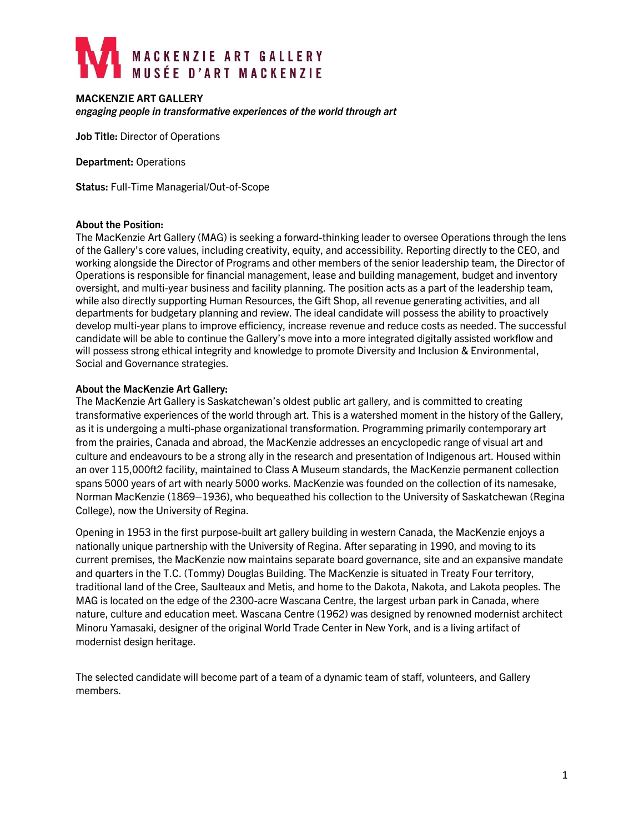# MACKENZIE ART GALLERY<br>MUSÉE D'ART MACKENZIE

## **MACKENZIE ART GALLERY**

*engaging people in transformative experiences of the world through art*

**Job Title:** Director of Operations

**Department:** Operations

**Status:** Full-Time Managerial/Out-of-Scope

### **About the Position:**

The MacKenzie Art Gallery (MAG) is seeking a forward-thinking leader to oversee Operations through the lens of the Gallery's core values, including creativity, equity, and accessibility. Reporting directly to the CEO, and working alongside the Director of Programs and other members of the senior leadership team, the Director of Operations is responsible for financial management, lease and building management, budget and inventory oversight, and multi-year business and facility planning. The position acts as a part of the leadership team, while also directly supporting Human Resources, the Gift Shop, all revenue generating activities, and all departments for budgetary planning and review. The ideal candidate will possess the ability to proactively develop multi-year plans to improve efficiency, increase revenue and reduce costs as needed. The successful candidate will be able to continue the Gallery's move into a more integrated digitally assisted workflow and will possess strong ethical integrity and knowledge to promote Diversity and Inclusion & Environmental, Social and Governance strategies.

### **About the MacKenzie Art Gallery:**

The MacKenzie Art Gallery is Saskatchewan's oldest public art gallery, and is committed to creating transformative experiences of the world through art. This is a watershed moment in the history of the Gallery, as it is undergoing a multi-phase organizational transformation. Programming primarily contemporary art from the prairies, Canada and abroad, the MacKenzie addresses an encyclopedic range of visual art and culture and endeavours to be a strong ally in the research and presentation of Indigenous art. Housed within an over 115,000ft2 facility, maintained to Class A Museum standards, the MacKenzie permanent collection spans 5000 years of art with nearly 5000 works. MacKenzie was founded on the collection of its namesake, Norman MacKenzie (1869–1936), who bequeathed his collection to the University of Saskatchewan (Regina College), now the University of Regina.

Opening in 1953 in the first purpose-built art gallery building in western Canada, the MacKenzie enjoys a nationally unique partnership with the University of Regina. After separating in 1990, and moving to its current premises, the MacKenzie now maintains separate board governance, site and an expansive mandate and quarters in the T.C. (Tommy) Douglas Building. The MacKenzie is situated in Treaty Four territory, traditional land of the Cree, Saulteaux and Metis, and home to the Dakota, Nakota, and Lakota peoples. The MAG is located on the edge of the 2300-acre Wascana Centre, the largest urban park in Canada, where nature, culture and education meet. Wascana Centre (1962) was designed by renowned modernist architect Minoru Yamasaki, designer of the original World Trade Center in New York, and is a living artifact of modernist design heritage.

The selected candidate will become part of a team of a dynamic team of staff, volunteers, and Gallery members.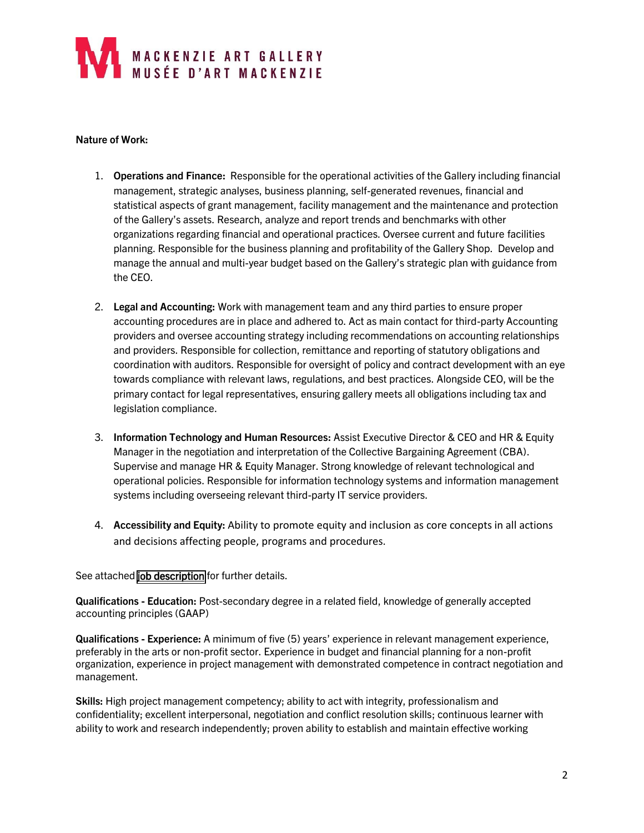# MACKENZIE ART GALLERY<br>I MUSÉE D'ART MACKENZIE

## **Nature of Work:**

- 1. **Operations and Finance:** Responsible for the operational activities of the Gallery including financial management, strategic analyses, business planning, self-generated revenues, financial and statistical aspects of grant management, facility management and the maintenance and protection of the Gallery's assets. Research, analyze and report trends and benchmarks with other organizations regarding financial and operational practices. Oversee current and future facilities planning. Responsible for the business planning and profitability of the Gallery Shop. Develop and manage the annual and multi-year budget based on the Gallery's strategic plan with guidance from the CEO.
- 2. **Legal and Accounting:** Work with management team and any third parties to ensure proper accounting procedures are in place and adhered to. Act as main contact for third-party Accounting providers and oversee accounting strategy including recommendations on accounting relationships and providers. Responsible for collection, remittance and reporting of statutory obligations and coordination with auditors. Responsible for oversight of policy and contract development with an eye towards compliance with relevant laws, regulations, and best practices. Alongside CEO, will be the primary contact for legal representatives, ensuring gallery meets all obligations including tax and legislation compliance.
- 3. **Information Technology and Human Resources:** Assist Executive Director & CEO and HR & Equity Manager in the negotiation and interpretation of the Collective Bargaining Agreement (CBA). Supervise and manage HR & Equity Manager. Strong knowledge of relevant technological and operational policies. Responsible for information technology systems and information management systems including overseeing relevant third-party IT service providers.
- 4. **Accessibility and Equity:** Ability to promote equity and inclusion as core concepts in all actions and decisions affecting people, programs and procedures.

See attached [job description](https://mackenzie.art/site-content/uploads/2022/05/jd_director_of_operations_2022-05-13.pdf) for further details.

**Qualifications - Education:** Post-secondary degree in a related field, knowledge of generally accepted accounting principles (GAAP)

**Qualifications - Experience:** A minimum of five (5) years' experience in relevant management experience, preferably in the arts or non-profit sector. Experience in budget and financial planning for a non-profit organization, experience in project management with demonstrated competence in contract negotiation and management.

**Skills:** High project management competency; ability to act with integrity, professionalism and confidentiality; excellent interpersonal, negotiation and conflict resolution skills; continuous learner with ability to work and research independently; proven ability to establish and maintain effective working